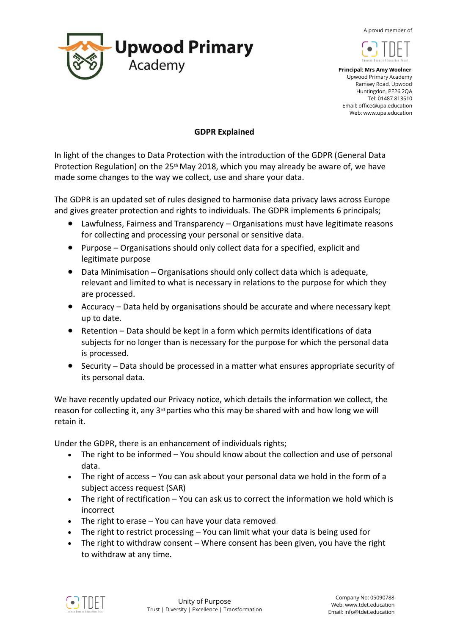A proud member of





 **Principal: Mrs Amy Woolner** Upwood Primary Academy Ramsey Road, Upwood Huntingdon, PE26 2QA Tel: 01487 813510 Email: office@upa.education Web: www.upa.education

## **GDPR Explained**

In light of the changes to Data Protection with the introduction of the GDPR (General Data Protection Regulation) on the 25<sup>th</sup> May 2018, which you may already be aware of, we have made some changes to the way we collect, use and share your data.

The GDPR is an updated set of rules designed to harmonise data privacy laws across Europe and gives greater protection and rights to individuals. The GDPR implements 6 principals;

- Lawfulness, Fairness and Transparency Organisations must have legitimate reasons for collecting and processing your personal or sensitive data.
- Purpose Organisations should only collect data for a specified, explicit and legitimate purpose
- Data Minimisation Organisations should only collect data which is adequate, relevant and limited to what is necessary in relations to the purpose for which they are processed.
- Accuracy Data held by organisations should be accurate and where necessary kept up to date.
- Retention Data should be kept in a form which permits identifications of data subjects for no longer than is necessary for the purpose for which the personal data is processed.
- Security Data should be processed in a matter what ensures appropriate security of its personal data.

We have recently updated our Privacy notice, which details the information we collect, the reason for collecting it, any  $3<sup>d</sup>$  parties who this may be shared with and how long we will retain it.

Under the GDPR, there is an enhancement of individuals rights;

- The right to be informed You should know about the collection and use of personal data.
- The right of access You can ask about your personal data we hold in the form of a subject access request (SAR)
- The right of rectification You can ask us to correct the information we hold which is incorrect
- The right to erase You can have your data removed
- The right to restrict processing You can limit what your data is being used for
- The right to withdraw consent Where consent has been given, you have the right to withdraw at any time.